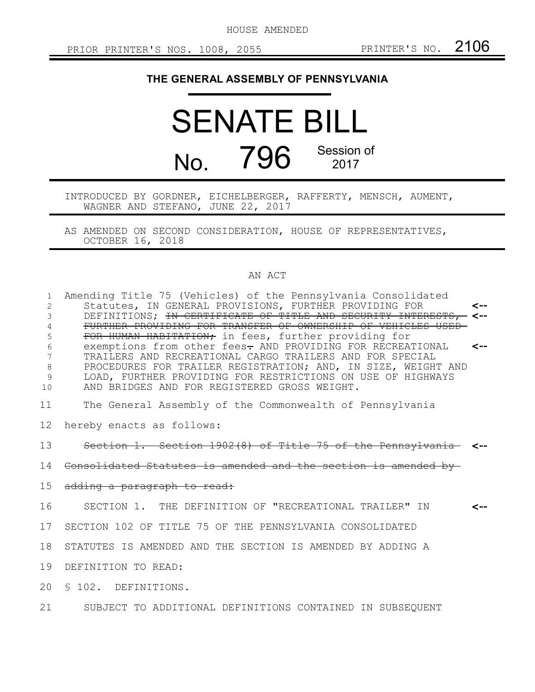HOUSE AMENDED

## **THE GENERAL ASSEMBLY OF PENNSYLVANIA**

## SENATE BILL No. 796 Session of 2017

INTRODUCED BY GORDNER, EICHELBERGER, RAFFERTY, MENSCH, AUMENT, WAGNER AND STEFANO, JUNE 22, 2017

AS AMENDED ON SECOND CONSIDERATION, HOUSE OF REPRESENTATIVES, OCTOBER 16, 2018

## AN ACT

| $\mathbf{1}$<br>2<br>3<br>4<br>5<br>6<br>8<br>9<br>10 | Amending Title 75 (Vehicles) of the Pennsylvania Consolidated<br>Statutes, IN GENERAL PROVISIONS, FURTHER PROVIDING FOR<br>DEFINITIONS; IN CERTIFICATE OF TITLE AND SECURITY INTERESTS,<br>FURTHER PROVIDING FOR TRANSFER OF OWNERSHIP OF VEHICLES USEE<br>FOR HUMAN HABITATION; in fees, further providing for<br>exemptions from other fees- AND PROVIDING FOR RECREATIONAL<br>TRAILERS AND RECREATIONAL CARGO TRAILERS AND FOR SPECIAL<br>PROCEDURES FOR TRAILER REGISTRATION; AND, IN SIZE, WEIGHT AND<br>LOAD, FURTHER PROVIDING FOR RESTRICTIONS ON USE OF HIGHWAYS<br>AND BRIDGES AND FOR REGISTERED GROSS WEIGHT. | <--<br><-- |
|-------------------------------------------------------|---------------------------------------------------------------------------------------------------------------------------------------------------------------------------------------------------------------------------------------------------------------------------------------------------------------------------------------------------------------------------------------------------------------------------------------------------------------------------------------------------------------------------------------------------------------------------------------------------------------------------|------------|
| 11                                                    | The General Assembly of the Commonwealth of Pennsylvania                                                                                                                                                                                                                                                                                                                                                                                                                                                                                                                                                                  |            |
| 12                                                    | hereby enacts as follows:                                                                                                                                                                                                                                                                                                                                                                                                                                                                                                                                                                                                 |            |
| 13                                                    | Section 1. Section 1902(8) of Title 75 of the Pennsylvania <--                                                                                                                                                                                                                                                                                                                                                                                                                                                                                                                                                            |            |
| 14                                                    | Consolidated Statutes is amended and the section is amended by-                                                                                                                                                                                                                                                                                                                                                                                                                                                                                                                                                           |            |
| 15                                                    | adding a paragraph to read:                                                                                                                                                                                                                                                                                                                                                                                                                                                                                                                                                                                               |            |
| 16                                                    | SECTION 1. THE DEFINITION OF "RECREATIONAL TRAILER" IN                                                                                                                                                                                                                                                                                                                                                                                                                                                                                                                                                                    |            |
| 17                                                    | SECTION 102 OF TITLE 75 OF THE PENNSYLVANIA CONSOLIDATED                                                                                                                                                                                                                                                                                                                                                                                                                                                                                                                                                                  |            |
| 18                                                    | STATUTES IS AMENDED AND THE SECTION IS AMENDED BY ADDING A                                                                                                                                                                                                                                                                                                                                                                                                                                                                                                                                                                |            |
| 19                                                    | DEFINITION TO READ:                                                                                                                                                                                                                                                                                                                                                                                                                                                                                                                                                                                                       |            |
| 20                                                    | § 102. DEFINITIONS.                                                                                                                                                                                                                                                                                                                                                                                                                                                                                                                                                                                                       |            |
| 21                                                    | SUBJECT TO ADDITIONAL DEFINITIONS CONTAINED IN SUBSEQUENT                                                                                                                                                                                                                                                                                                                                                                                                                                                                                                                                                                 |            |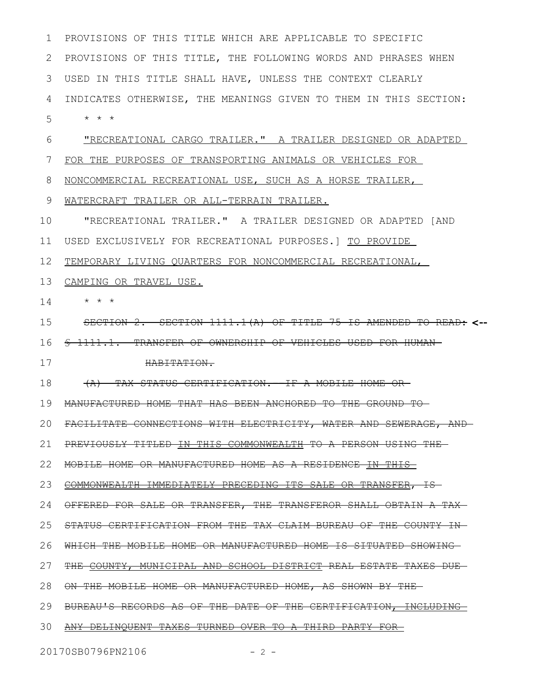PROVISIONS OF THIS TITLE WHICH ARE APPLICABLE TO SPECIFIC PROVISIONS OF THIS TITLE, THE FOLLOWING WORDS AND PHRASES WHEN USED IN THIS TITLE SHALL HAVE, UNLESS THE CONTEXT CLEARLY INDICATES OTHERWISE, THE MEANINGS GIVEN TO THEM IN THIS SECTION: \* \* \* "RECREATIONAL CARGO TRAILER." A TRAILER DESIGNED OR ADAPTED FOR THE PURPOSES OF TRANSPORTING ANIMALS OR VEHICLES FOR NONCOMMERCIAL RECREATIONAL USE, SUCH AS A HORSE TRAILER, WATERCRAFT TRAILER OR ALL-TERRAIN TRAILER. "RECREATIONAL TRAILER." A TRAILER DESIGNED OR ADAPTED [AND USED EXCLUSIVELY FOR RECREATIONAL PURPOSES.] TO PROVIDE TEMPORARY LIVING QUARTERS FOR NONCOMMERCIAL RECREATIONAL, 13 CAMPING OR TRAVEL USE. \* \* \* SECTION 2. SECTION 1111.1(A) OF TITLE 75 IS AMENDED TO READ: **<--** 16 <del>§ 1111.1. TRANSFER OF OWNERSHIP OF VEHICLES USED FOR HUMAN</del> HABITATION. (A) TAX STATUS CERTIFICATION.--IF A MOBILE HOME OR MANUFACTURED HOME THAT HAS BEEN ANCHORED TO THE GROUND TO FACILITATE CONNECTIONS WITH ELECTRICITY, WATER AND SEWERAGE, AND 21 PREVIOUSLY TITLED IN THIS COMMONWEALTH TO A PERSON USING THE 22 MOBILE HOME OR MANUFACTURED HOME AS A RESIDENCE IN THIS 23 COMMONWEALTH IMMEDIATELY PRECEDING ITS SALE OR TRANSFER, IS 24 OFFERED FOR SALE OR TRANSFER, THE TRANSFEROR SHALL OBTAIN A TAX STATUS CERTIFICATION FROM THE TAX CLAIM BUREAU OF THE COUNTY IN WHICH THE MOBILE HOME OR MANUFACTURED HOME IS SITUATED SHOWING 26 27 THE COUNTY, MUNICIPAL AND SCHOOL DISTRICT REAL ESTATE TAXES DUE 28 ON THE MOBILE HOME OR MANUFACTURED HOME, AS SHOWN BY THE 29 BUREAU'S RECORDS AS OF THE DATE OF THE CERTIFICATION, INCLUDING 30 ANY DELINQUENT TAXES TURNED OVER TO A THIRD PARTY FOR 1 2 3 4 5 6 7 8 9 10 11 12 14 15 17 18 19 20 25

20170SB0796PN2106 - 2 -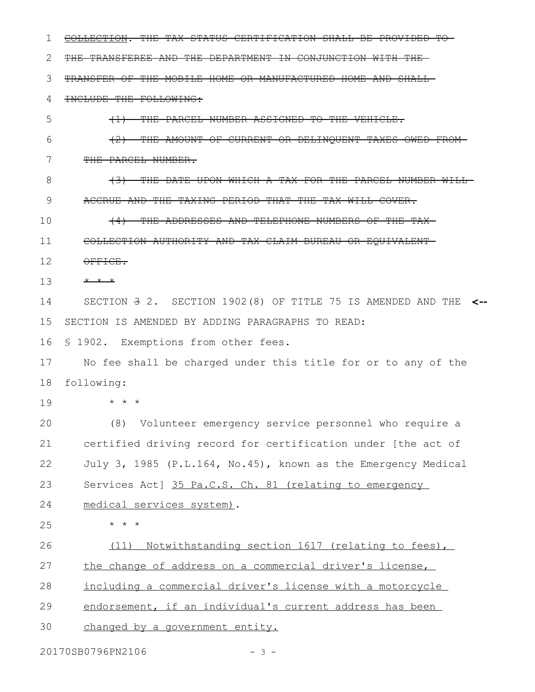COLLECTION. THE TAX STATUS CERTIFICATION SHALL BE PROVIDED TO THE TRANSFEREE AND THE DEPARTMENT IN CONJUNCTION WITH THE TRANSFER OF THE MOBILE HOME OR MANUFACTURED HOME AND SHALL INCLUDE THE FOLLOWING: (1) THE PARCEL NUMBER ASSIGNED TO THE VEHICLE. (2) THE AMOUNT OF CURRENT OR DELINQUENT TAXES OWED FROM THE PARCEL NUMBER. (3) THE DATE UPON WHICH A TAX FOR THE PARCEL NUMBER WILL ACCRUE AND THE TAXING PERIOD THAT THE TAX WILL COVER. (4) THE ADDRESSES AND TELEPHONE NUMBERS OF THE TAX COLLECTION AUTHORITY AND TAX CLAIM BUREAU OR EQUIVALENT OFFICE. \* \* \* SECTION 3 2. SECTION 1902(8) OF TITLE 75 IS AMENDED AND THE **<--** SECTION IS AMENDED BY ADDING PARAGRAPHS TO READ: § 1902. Exemptions from other fees. No fee shall be charged under this title for or to any of the following: \* \* \* (8) Volunteer emergency service personnel who require a certified driving record for certification under [the act of July 3, 1985 (P.L.164, No.45), known as the Emergency Medical Services Act] 35 Pa.C.S. Ch. 81 (relating to emergency medical services system). \* \* \* (11) Notwithstanding section 1617 (relating to fees), the change of address on a commercial driver's license, including a commercial driver's license with a motorcycle endorsement, if an individual's current address has been changed by a government entity. 1 2 3 4 5 6 7 8 9 10 11 12 13 14 15 16 17 18 19 20 21 22 23 24 25 26 27 28 29 30

20170SB0796PN2106 - 3 -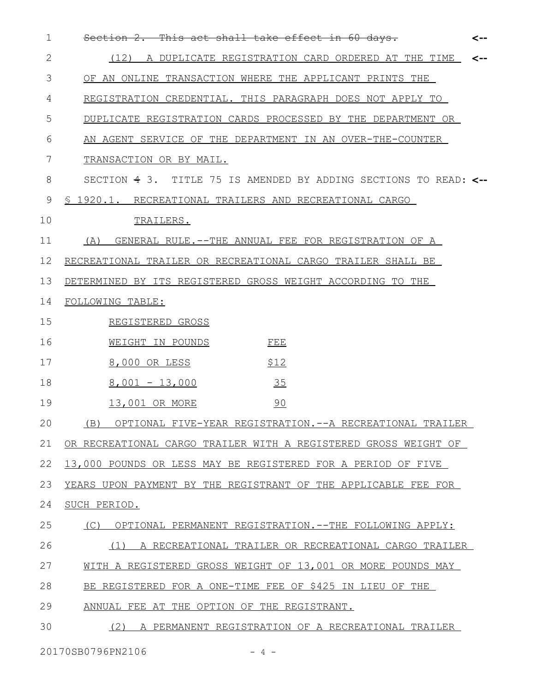| $\mathbf{1}$ | <del>Section 2.</del><br>This act shall take effect in 60 days.   | <-- |
|--------------|-------------------------------------------------------------------|-----|
| $\mathbf{2}$ | (12)<br>A DUPLICATE REGISTRATION CARD ORDERED AT THE TIME         | <-- |
| 3            | OF AN ONLINE TRANSACTION WHERE THE APPLICANT PRINTS THE           |     |
| 4            | REGISTRATION CREDENTIAL. THIS PARAGRAPH DOES NOT APPLY TO         |     |
| 5            | DUPLICATE REGISTRATION CARDS PROCESSED BY THE DEPARTMENT OR       |     |
| 6            | AN AGENT SERVICE OF THE DEPARTMENT IN AN OVER-THE-COUNTER         |     |
| 7            | TRANSACTION OR BY MAIL.                                           |     |
| 8            | SECTION 4 3. TITLE 75 IS AMENDED BY ADDING SECTIONS TO READ: <--  |     |
| 9            | § 1920.1. RECREATIONAL TRAILERS AND RECREATIONAL CARGO            |     |
| 10           | TRAILERS.                                                         |     |
| 11           | GENERAL RULE. -- THE ANNUAL FEE FOR REGISTRATION OF A<br>(A)      |     |
| 12           | RECREATIONAL TRAILER OR RECREATIONAL CARGO TRAILER SHALL BE       |     |
| 13           | DETERMINED BY ITS REGISTERED GROSS WEIGHT ACCORDING TO THE        |     |
| 14           | FOLLOWING TABLE:                                                  |     |
| 15           | REGISTERED GROSS                                                  |     |
| 16           | WEIGHT IN POUNDS<br>FEE                                           |     |
| 17           | \$12<br>8,000 OR LESS                                             |     |
| 18           | 35<br>$8,001 - 13,000$                                            |     |
| 19           | 90<br>13,001 OR MORE                                              |     |
| 20           | (B) OPTIONAL FIVE-YEAR REGISTRATION.-<br>--A RECREATIONAL TRAILER |     |
| 21           | OR RECREATIONAL CARGO TRAILER WITH A REGISTERED GROSS WEIGHT OF   |     |
| 22           | 13,000 POUNDS OR LESS MAY BE REGISTERED FOR A PERIOD OF FIVE      |     |
| 23           | YEARS UPON PAYMENT BY THE REGISTRANT OF THE APPLICABLE FEE FOR    |     |
| 24           | SUCH PERIOD.                                                      |     |
| 25           | OPTIONAL PERMANENT REGISTRATION. --THE FOLLOWING APPLY:<br>(C)    |     |
| 26           | A RECREATIONAL TRAILER OR RECREATIONAL CARGO TRAILER<br>(1)       |     |
| 27           | WITH A REGISTERED GROSS WEIGHT OF 13,001 OR MORE POUNDS MAY       |     |
| 28           | BE REGISTERED FOR A ONE-TIME FEE OF \$425 IN LIEU OF THE          |     |
| 29           | ANNUAL FEE AT THE OPTION OF THE REGISTRANT.                       |     |
| 30           | (2)<br>A PERMANENT REGISTRATION OF A RECREATIONAL TRAILER         |     |
|              |                                                                   |     |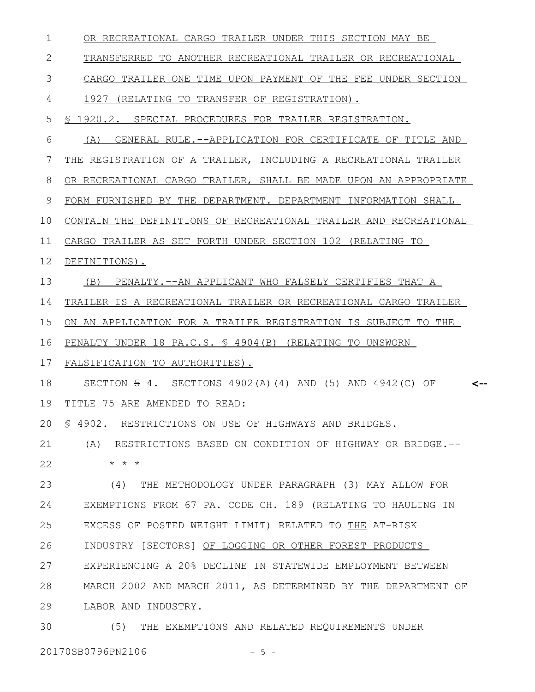| 1  | OR RECREATIONAL CARGO TRAILER UNDER THIS SECTION MAY BE                    |
|----|----------------------------------------------------------------------------|
| 2  | TRANSFERRED TO ANOTHER RECREATIONAL TRAILER OR RECREATIONAL                |
| 3  | CARGO TRAILER ONE TIME UPON PAYMENT OF THE FEE UNDER SECTION               |
| 4  | 1927 (RELATING TO TRANSFER OF REGISTRATION).                               |
| 5  | § 1920.2. SPECIAL PROCEDURES FOR TRAILER REGISTRATION.                     |
| 6  | GENERAL RULE.--APPLICATION FOR CERTIFICATE OF TITLE AND<br>(A)             |
| 7  | THE REGISTRATION OF A TRAILER, INCLUDING A RECREATIONAL TRAILER            |
| 8  | OR RECREATIONAL CARGO TRAILER, SHALL BE MADE UPON AN APPROPRIATE           |
| 9  | FORM FURNISHED BY THE DEPARTMENT. DEPARTMENT INFORMATION SHALL             |
| 10 | CONTAIN THE DEFINITIONS OF RECREATIONAL TRAILER AND RECREATIONAL           |
| 11 | CARGO TRAILER AS SET FORTH UNDER SECTION 102 (RELATING TO                  |
| 12 | DEFINITIONS).                                                              |
| 13 | (B) PENALTY.--AN APPLICANT WHO FALSELY CERTIFIES THAT A                    |
| 14 | TRAILER IS A RECREATIONAL TRAILER OR RECREATIONAL CARGO TRAILER            |
| 15 | ON AN APPLICATION FOR A TRAILER REGISTRATION IS SUBJECT TO THE             |
| 16 | PENALTY UNDER 18 PA.C.S. \$ 4904 (B) (RELATING TO UNSWORN                  |
| 17 | FALSIFICATION TO AUTHORITIES).                                             |
| 18 | SECTION $\frac{1}{2}$ 4. SECTIONS 4902(A)(4) AND (5) AND 4942(C) OF<br><-- |
| 19 | TITLE 75 ARE AMENDED TO READ:                                              |
|    | 20 \$ 4902. RESTRICTIONS ON USE OF HIGHWAYS AND BRIDGES                    |
| 21 | (A) RESTRICTIONS BASED ON CONDITION OF HIGHWAY OR BRIDGE.--                |
| 22 | $\star$ $\star$ $\star$                                                    |
| 23 | THE METHODOLOGY UNDER PARAGRAPH (3) MAY ALLOW FOR<br>(4)                   |
| 24 | EXEMPTIONS FROM 67 PA. CODE CH. 189 (RELATING TO HAULING IN                |
| 25 | EXCESS OF POSTED WEIGHT LIMIT) RELATED TO THE AT-RISK                      |
| 26 | INDUSTRY [SECTORS] OF LOGGING OR OTHER FOREST PRODUCTS                     |
| 27 | EXPERIENCING A 20% DECLINE IN STATEWIDE EMPLOYMENT BETWEEN                 |
| 28 | MARCH 2002 AND MARCH 2011, AS DETERMINED BY THE DEPARTMENT OF              |
| 29 | LABOR AND INDUSTRY.                                                        |
| 30 | THE EXEMPTIONS AND RELATED REQUIREMENTS UNDER<br>(5)                       |

20170SB0796PN2106 - 5 -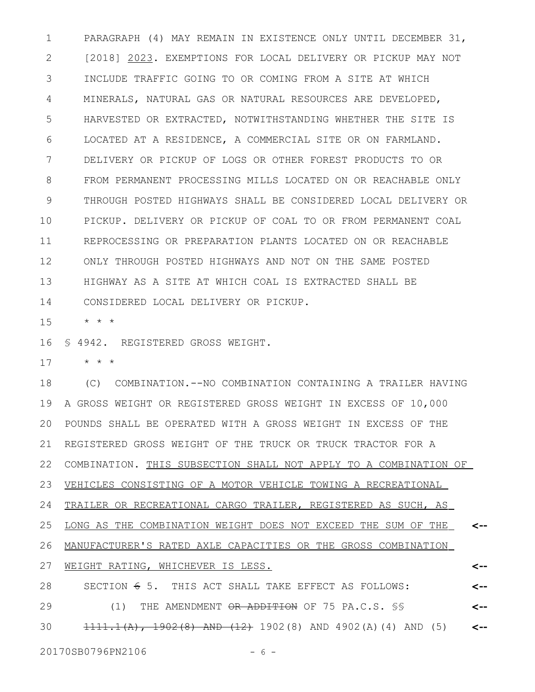PARAGRAPH (4) MAY REMAIN IN EXISTENCE ONLY UNTIL DECEMBER 31, [2018] 2023. EXEMPTIONS FOR LOCAL DELIVERY OR PICKUP MAY NOT INCLUDE TRAFFIC GOING TO OR COMING FROM A SITE AT WHICH MINERALS, NATURAL GAS OR NATURAL RESOURCES ARE DEVELOPED, HARVESTED OR EXTRACTED, NOTWITHSTANDING WHETHER THE SITE IS LOCATED AT A RESIDENCE, A COMMERCIAL SITE OR ON FARMLAND. DELIVERY OR PICKUP OF LOGS OR OTHER FOREST PRODUCTS TO OR FROM PERMANENT PROCESSING MILLS LOCATED ON OR REACHABLE ONLY THROUGH POSTED HIGHWAYS SHALL BE CONSIDERED LOCAL DELIVERY OR PICKUP. DELIVERY OR PICKUP OF COAL TO OR FROM PERMANENT COAL REPROCESSING OR PREPARATION PLANTS LOCATED ON OR REACHABLE ONLY THROUGH POSTED HIGHWAYS AND NOT ON THE SAME POSTED HIGHWAY AS A SITE AT WHICH COAL IS EXTRACTED SHALL BE CONSIDERED LOCAL DELIVERY OR PICKUP. 1 2 3 4 5 6 7 8 9 10 11 12 13 14

\* \* \* 15

§ 4942. REGISTERED GROSS WEIGHT. 16

\* \* \* 17

(C) COMBINATION.--NO COMBINATION CONTAINING A TRAILER HAVING A GROSS WEIGHT OR REGISTERED GROSS WEIGHT IN EXCESS OF 10,000 POUNDS SHALL BE OPERATED WITH A GROSS WEIGHT IN EXCESS OF THE REGISTERED GROSS WEIGHT OF THE TRUCK OR TRUCK TRACTOR FOR A 22 COMBINATION. THIS SUBSECTION SHALL NOT APPLY TO A COMBINATION OF VEHICLES CONSISTING OF A MOTOR VEHICLE TOWING A RECREATIONAL TRAILER OR RECREATIONAL CARGO TRAILER, REGISTERED AS SUCH, AS LONG AS THE COMBINATION WEIGHT DOES NOT EXCEED THE SUM OF THE MANUFACTURER'S RATED AXLE CAPACITIES OR THE GROSS COMBINATION WEIGHT RATING, WHICHEVER IS LESS. SECTION  $6$  5. THIS ACT SHALL TAKE EFFECT AS FOLLOWS: (1) THE AMENDMENT OR ADDITION OF 75 PA.C.S. §§ 1111.1(A), 1902(8) AND (12) 1902(8) AND 4902(A)(4) AND (5) **<-- <-- <-- <-- <--** 18 19 20 21 23 24 25 26 27 28 29 30

20170SB0796PN2106 - 6 -